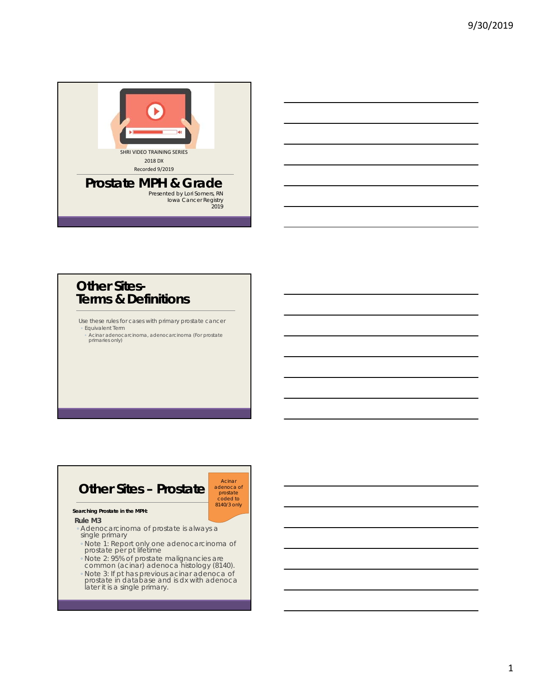

### **Other Sites-Terms & Definitions**

Use these rules for cases with primary prostate cancer ◦ Equivalent Term

◦ Acinar adenocarcinoma, adenocarcinoma (For prostate primaries only)

### **Other Sites – Prostate**

adenoca of prostate coded to 8140/3 only

Acinar

#### **Searching Prostate in the MPH:**

**Rule M3**

- Adenocarcinoma of prostate is always a single primary
- Note 1: Report only one adenocarcinoma of prostate per pt lifetime
- Note 2: 95% of prostate malignancies are common (acinar) adenoca histology (8140).
- Note 3: If pt has previous acinar adenoca of prostate in database and is dx with adenoca later it is a single primary.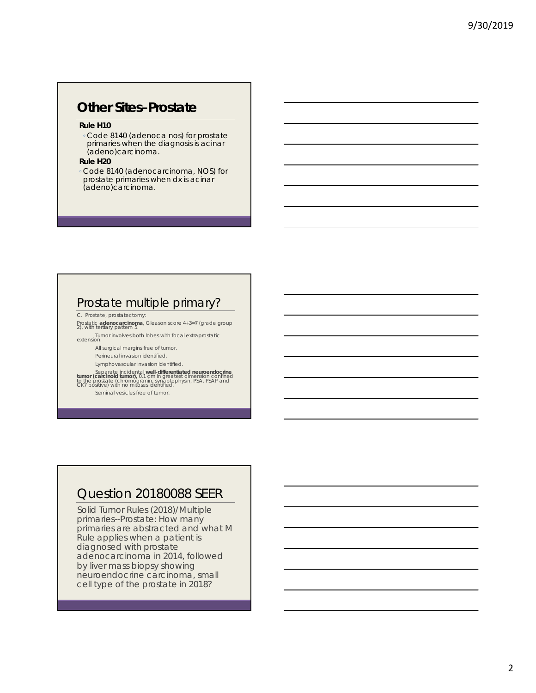# **Other Sites–Prostate**

#### **Rule H10**

◦ Code 8140 (adenoca nos) for prostate primaries when the diagnosis is acinar (adeno)carcinoma.

#### **Rule H20**

◦ Code 8140 (adenocarcinoma, NOS) for prostate primaries when dx is acinar (adeno)carcinoma.

### Prostate multiple primary?

C. Prostate, prostatectomy:

Prostatic **adenocarcinoma**, Gleason score 4+3=7 (grade group 2), with tertiary pattern 5.

Tumor involves both lobes with focal extraprostatic extension.

All surgical margins free of tumor.

Perineural invasion identified.

Lymphovascular invasion identified.

Separate incidental well-differentiated neuroendocrine<br>tumor (carcinoid tumor), 0.1 cm in greatest dimension confined<br>to the prostate (chromogranin, synaptophysin, PSA, PSAP and<br>CK7 positive) with no mitoses identified.

Seminal vesicles free of tumor.

### Question 20180088 SEER

Solid Tumor Rules (2018)/Multiple primaries--Prostate: How many primaries are abstracted and what M Rule applies when a patient is diagnosed with prostate adenocarcinoma in 2014, followed by liver mass biopsy showing neuroendocrine carcinoma, small cell type of the prostate in 2018?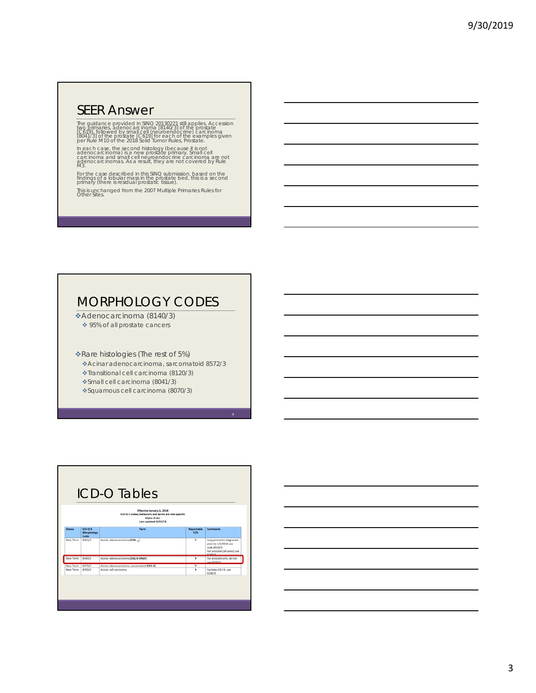### SEER Answer

The guidance provided in SINO 20130221 still applies. Accession<br>two primaries, adenocarcinoma [8140/3] of the prostate<br>[C619], followed by small cell (neuroendocrine) carcinoma<br>[8041/3] of the postate [C619] for each of th

In each case, the second histology (because it is not<br>adenocarcinoma) is a new prostate primary. Small cell<br>carcinoma and small cell neuroendocrine carcinoma are not<br>adenocarcinomas. As a result, they are not covered by Ru

For the case described in this SINQ submission, based on the findings of a lobular mass in the prostate bed, this is a second primary (there is residual prostatic tissue).

This is unchanged from the 2007 Multiple Primaries Rules for Other Sites.

# MORPHOLOGY CODES

Adenocarcinoma (8140/3) ◆ 95% of all prostate cancers

Rare histologies (The rest of 5%)

Acinar adenocarcinoma, sarcomatoid 8572/3

Transitional cell carcinoma (8120/3)

Small cell carcinoma (8041/3)

Squamous cell carcinoma (8070/3)

| Effective January 1, 2018<br>ICD-O-3 codes, behaviors and terms are site-specific<br>Alpha Order<br>Last updated 8/22/18 |                                 |                                            |                          |                                                                                                             |  |  |
|--------------------------------------------------------------------------------------------------------------------------|---------------------------------|--------------------------------------------|--------------------------|-------------------------------------------------------------------------------------------------------------|--|--|
| <b>Status</b>                                                                                                            | $ICO-O-3$<br>Morphology<br>Code | <b>Tarm</b>                                | Reportable<br><b>V/N</b> | Comments                                                                                                    |  |  |
| New Term                                                                                                                 | 8551/3                          | Acinar adenocarcinoma (C14. )              | ٧                        | Lung primaries diagnosed<br>prior to 1/1/2018 use.<br>code 8550/3<br>For prostate (all years) see<br>414013 |  |  |
| New Term                                                                                                                 | 8140/3                          | Azinar adenocarcinoma (C61.9 ONLY)         | ٧                        | For prostate only, do not<br>use 8550/3                                                                     |  |  |
| New Term                                                                                                                 | 8572/3                          | Azinar adenocarcinoma, sarcomatoid (C61.9) | ٧                        |                                                                                                             |  |  |
| New Term                                                                                                                 | <b>RS50/3</b>                   | Acinar cell carcinoma                      | v                        | Excludes C61.9-see<br>8140/3                                                                                |  |  |

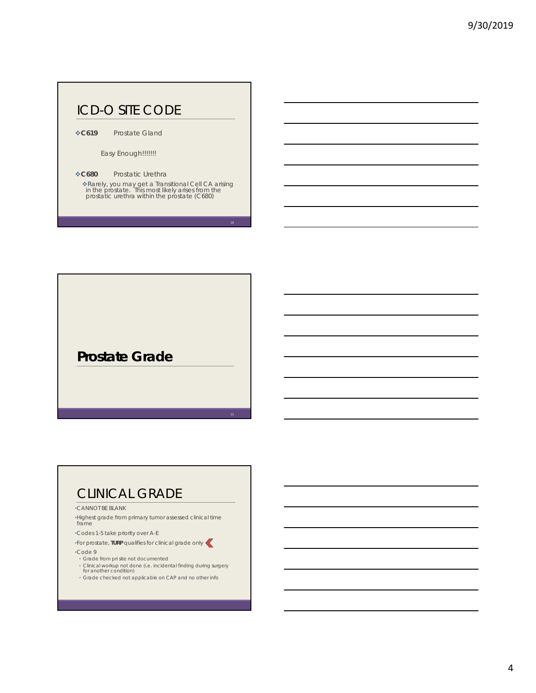# ICD-O SITE CODE

**C619** Prostate Gland

Easy Enough!!!!!!!

**C680** Prostatic Urethra

Rarely, you may get a Transitional Cell CA arising in the prostate. This most likely arises from the prostatic urethra within the prostate (C680)

**Prostate Grade**

# CLINICAL GRADE

#### •CANNOT BE BLANK

•Highest grade from primary tumor assessed clinical time frame

•Codes 1-5 take priority over A-E

•For prostate, **TURP** qualifies for clinical grade only

#### •Code 9

- Grade from pri site not documented
- Clinical workup not done (i.e. incidental finding during surgery for another condition)
- Grade checked not applicable on CAP and no other info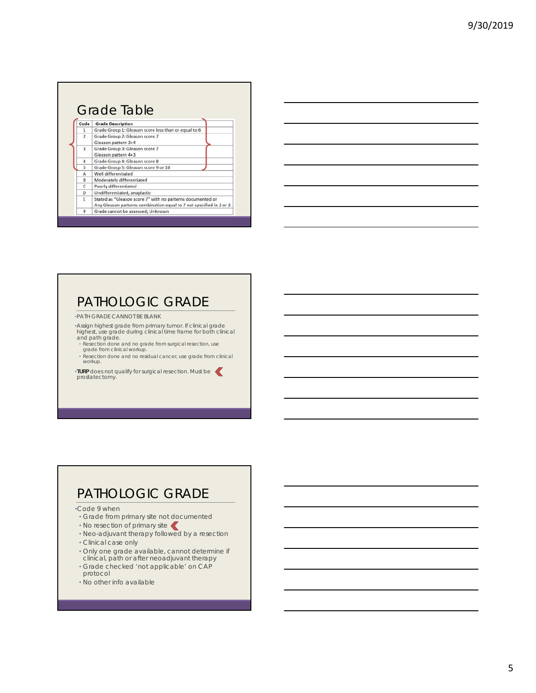| Code           | <b>Grade Description</b>                                                                                                          |  |  |
|----------------|-----------------------------------------------------------------------------------------------------------------------------------|--|--|
| 1              | Grade Group 1: Gleason score less than or equal to 6                                                                              |  |  |
| $\overline{2}$ | Grade Group 2: Gleason score 7<br>Gleason pattern 3+4                                                                             |  |  |
| $\overline{a}$ | Grade Group 3: Gleason score 7<br>Gleason pattern 4+3                                                                             |  |  |
| 4              | Grade Group 4: Gleason score 8                                                                                                    |  |  |
| 5              | Grade Group 5: Gleason score 9 or 10                                                                                              |  |  |
| А              | Well differentiated                                                                                                               |  |  |
| B              | Moderately differentiated                                                                                                         |  |  |
| $\epsilon$     | Poorly differentiated                                                                                                             |  |  |
| D              | Undifferentiated, anaplastic                                                                                                      |  |  |
| E              | Stated as "Gleason score 7" with no patterns documented or<br>Any Gleason patterns combination equal to 7 not specified in 2 or 3 |  |  |
| 9              | Grade cannot be assessed; Unknown                                                                                                 |  |  |

# PATHOLOGIC GRADE

•PATH GRADE CANNOT BE BLANK

• Assign highest grade from primary tumor. If clinical grade<br>highest, use grade during clinical time frame for both clinical<br>and path grade.<br>• Resection done and no grade from surgical resection, use<br>grade from clinical wo

- 
- 
- Resection done and no residual cancer, use grade from clinical workup.

•**TURP** does not qualify for surgical resection. Must be prostatectomy.

### PATHOLOGIC GRADE

•Code 9 when

- Grade from primary site not documented
- No resection of primary site
- Neo-adjuvant therapy followed by a resection
- Clinical case only
- Only one grade available, cannot determine if clinical, path or after neoadjuvant therapy
- Grade checked 'not applicable' on CAP protocol
- No other info available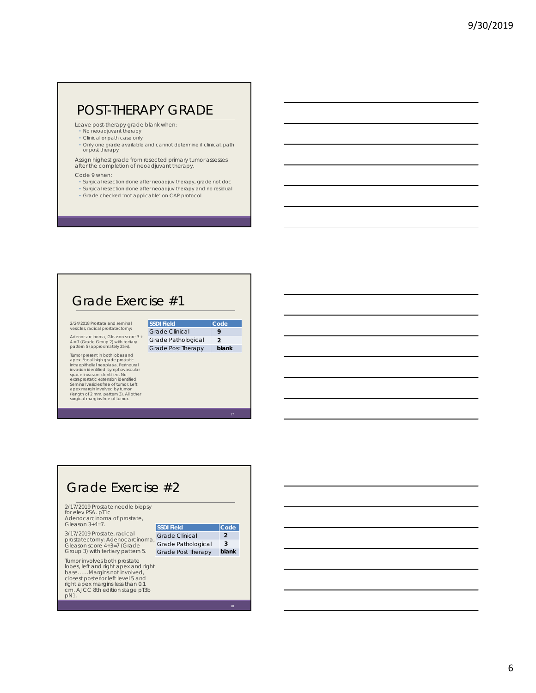### POST-THERAPY GRADE

Leave post-therapy grade blank when:

- No neoadjuvant therapy
- Clinical or path case only
- Only one grade available and cannot determine if clinical, path or post therapy

Assign highest grade from resected primary tumor assesses after the completion of neoadjuvant therapy.

#### Code 9 when:

- Surgical resection done after neoadjuv therapy, grade not doc
- Surgical resection done after neoadjuv therapy and no residual • Grade checked 'not applicable' on CAP protocol

### Grade Exercise #1

2/24/2018 Prostate and seminal vesicles, radical prostatectomy:

Adenocarcinoma, Gleason score 3 + 4 = 7 (Grade Group 2) with tertiary pattern 5 (approximately 25%).

Tumor present in both lobes and<br>apex. Focal high grade postatic<br>intraepithelial neoplasia. Perineural<br>intraepithelial neoplasia. Perineural<br>space linvasion identified. No<br>extraprostatic extension identified.<br>Aleman vesicle

| Code          |
|---------------|
| Q             |
| $\mathcal{P}$ |
| blank         |
|               |

# Grade Exercise #2

2/17/2019 Prostate needle biopsy for elev PSA. pT1c Adenocarcinoma of prostate, Gleason 3+4=7.

3/17/2019 Prostate, radical prostatectomy: Adenocarcinoma, Gleason score 4+3=7 (Grade Group 3) with tertiary pattern 5.

Tumor involves both prostate lobes, left and right apex and right base……Margins not involved, closest posterior left level 5 and right apex margins less than 0.1 cm. AJCC 8th edition stage pT3b pN1.

| <b>SSDI Field</b>     | Code           |
|-----------------------|----------------|
| <b>Grade Clinical</b> | $\mathfrak{p}$ |
| Grade Pathological    | 3              |
| Grade Post Therapy    | blank          |
|                       |                |